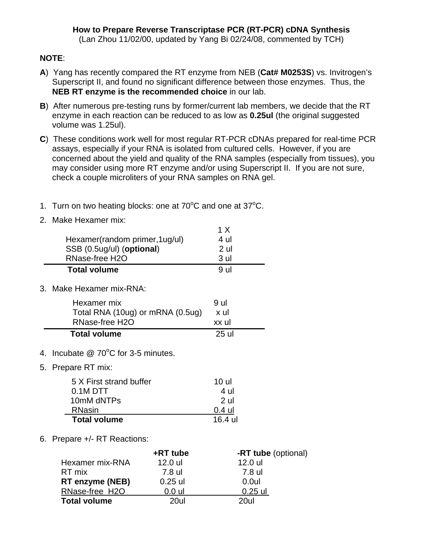## **NOTE**:

- **A**) Yang has recently compared the RT enzyme from NEB (**Cat# M0253S**) vs. Invitrogen's Superscript II, and found no significant difference between those enzymes. Thus, the **NEB RT enzyme is the recommended choice** in our lab.
- **B**) After numerous pre-testing runs by former/current lab members, we decide that the RT enzyme in each reaction can be reduced to as low as **0.25ul** (the original suggested volume was 1.25ul).
- **C**) These conditions work well for most regular RT-PCR cDNAs prepared for real-time PCR assays, especially if your RNA is isolated from cultured cells. However, if you are concerned about the yield and quality of the RNA samples (especially from tissues), you may consider using more RT enzyme and/or using Superscript II. If you are not sure, check a couple microliters of your RNA samples on RNA gel.
- 1. Turn on two heating blocks: one at  $70^{\circ}$ C and one at  $37^{\circ}$ C.
- 2. Make Hexamer mix:

| Hexamer(random primer, 1ug/ul)<br>SSB (0.5ug/ul) (optional)<br>RNase-free H2O | 1 X<br>4 ul<br>2 ul<br>3 ul |  |
|-------------------------------------------------------------------------------|-----------------------------|--|
| <b>Total volume</b>                                                           | 9 ul                        |  |
| 3. Make Hexamer mix-RNA:                                                      |                             |  |
| Hexamer mix<br>Total RNA (10ug) or mRNA (0.5ug)<br>RNase-free H2O             | 9 ul<br>x ul<br>xx ul       |  |
| <b>Total volume</b>                                                           | 25 ul                       |  |
|                                                                               |                             |  |

- 4. Incubate  $@$  70 $°C$  for 3-5 minutes.
- 5. Prepare RT mix:

| 5 X First strand buffer | 10 ul          |
|-------------------------|----------------|
| $0.1M$ DTT              | 4 ul           |
| 10mM dNTPs              | 2 <sub>u</sub> |
| <b>RNasin</b>           | $0.4$ ul       |
| <b>Total volume</b>     | 16.4 ul        |

6. Prepare +/- RT Reactions:

|                        | +RT tube  | -RT tube (optional) |
|------------------------|-----------|---------------------|
| Hexamer mix-RNA        | 12.0 ul   | 12.0 ul             |
| RT mix                 | 7.8 ul    | 7.8 ul              |
| <b>RT enzyme (NEB)</b> | $0.25$ ul | $0.0$ ul            |
| RNase-free H2O         | $0.0$ ul  | $0.25$ ul           |
| <b>Total volume</b>    | 20ul      | 20ul                |